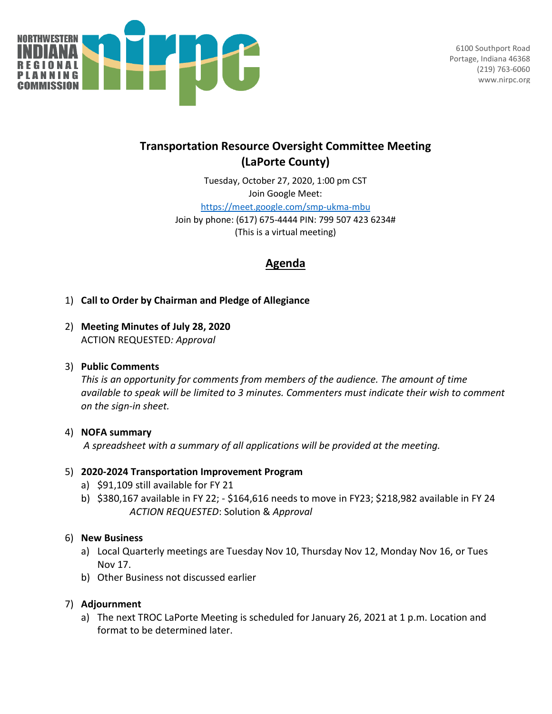

6100 Southport Road Portage, Indiana 46368 (219) 763-6060 www.nirpc.org

# **Transportation Resource Oversight Committee Meeting (LaPorte County)**

Tuesday, October 27, 2020, 1:00 pm CST Join Google Meet: <https://meet.google.com/smp-ukma-mbu> Join by phone: (617) 675-4444 PIN: 799 507 423 6234# (This is a virtual meeting)

# **Agenda**

- 1) **Call to Order by Chairman and Pledge of Allegiance**
- 2) **Meeting Minutes of July 28, 2020** ACTION REQUESTED*: Approval*

# 3) **Public Comments**

*This is an opportunity for comments from members of the audience. The amount of time available to speak will be limited to 3 minutes. Commenters must indicate their wish to comment on the sign-in sheet.*

## 4) **NOFA summary**

*A spreadsheet with a summary of all applications will be provided at the meeting.*

## 5) **2020-2024 Transportation Improvement Program**

- a) \$91,109 still available for FY 21
- b) \$380,167 available in FY 22; \$164,616 needs to move in FY23; \$218,982 available in FY 24 *ACTION REQUESTED*: Solution & *Approval*

## 6) **New Business**

- a) Local Quarterly meetings are Tuesday Nov 10, Thursday Nov 12, Monday Nov 16, or Tues Nov 17.
- b) Other Business not discussed earlier

# 7) **Adjournment**

a) The next TROC LaPorte Meeting is scheduled for January 26, 2021 at 1 p.m. Location and format to be determined later.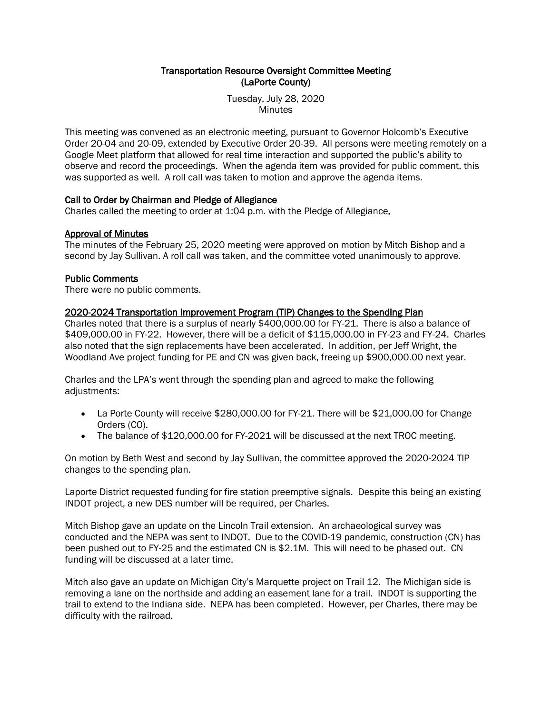### Transportation Resource Oversight Committee Meeting (LaPorte County)

Tuesday, July 28, 2020 Minutes

This meeting was convened as an electronic meeting, pursuant to Governor Holcomb's Executive Order 20-04 and 20-09, extended by Executive Order 20-39. All persons were meeting remotely on a Google Meet platform that allowed for real time interaction and supported the public's ability to observe and record the proceedings. When the agenda item was provided for public comment, this was supported as well. A roll call was taken to motion and approve the agenda items.

### Call to Order by Chairman and Pledge of Allegiance

Charles called the meeting to order at 1:04 p.m. with the Pledge of Allegiance.

### Approval of Minutes

The minutes of the February 25, 2020 meeting were approved on motion by Mitch Bishop and a second by Jay Sullivan. A roll call was taken, and the committee voted unanimously to approve.

#### Public Comments

There were no public comments.

#### 2020-2024 Transportation Improvement Program (TIP) Changes to the Spending Plan

Charles noted that there is a surplus of nearly \$400,000.00 for FY-21. There is also a balance of \$409,000.00 in FY-22. However, there will be a deficit of \$115,000.00 in FY-23 and FY-24. Charles also noted that the sign replacements have been accelerated. In addition, per Jeff Wright, the Woodland Ave project funding for PE and CN was given back, freeing up \$900,000.00 next year.

Charles and the LPA's went through the spending plan and agreed to make the following adjustments:

- La Porte County will receive \$280,000.00 for FY-21. There will be \$21,000.00 for Change Orders (CO).
- The balance of \$120,000.00 for FY-2021 will be discussed at the next TROC meeting.

On motion by Beth West and second by Jay Sullivan, the committee approved the 2020-2024 TIP changes to the spending plan.

Laporte District requested funding for fire station preemptive signals. Despite this being an existing INDOT project, a new DES number will be required, per Charles.

Mitch Bishop gave an update on the Lincoln Trail extension. An archaeological survey was conducted and the NEPA was sent to INDOT. Due to the COVID-19 pandemic, construction (CN) has been pushed out to FY-25 and the estimated CN is \$2.1M. This will need to be phased out. CN funding will be discussed at a later time.

Mitch also gave an update on Michigan City's Marquette project on Trail 12. The Michigan side is removing a lane on the northside and adding an easement lane for a trail. INDOT is supporting the trail to extend to the Indiana side. NEPA has been completed. However, per Charles, there may be difficulty with the railroad.